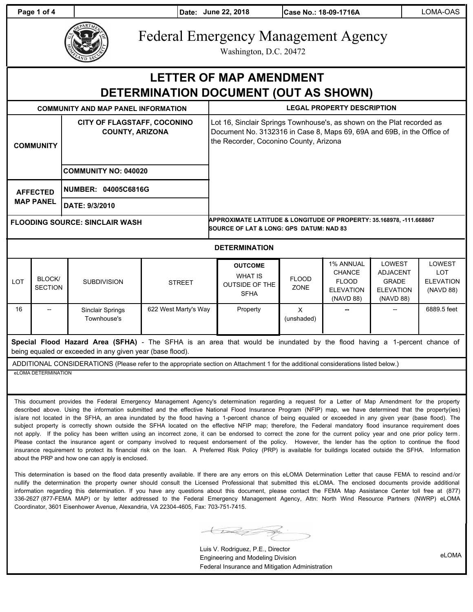**Page 1 of 4 Date: June 22, 2018 Case No.: 18-09-1716A** LOMA-OAS



# Federal Emergency Management Agency

Washington, D.C. 20472

## **LETTER OF MAP AMENDMENT DETERMINATION DOCUMENT (OUT AS SHOWN)**

| <b>COMMUNITY AND MAP PANEL INFORMATION</b> |                                                                                             | <b>LEGAL PROPERTY DESCRIPTION</b>                                                                                                                                                          |  |  |  |
|--------------------------------------------|---------------------------------------------------------------------------------------------|--------------------------------------------------------------------------------------------------------------------------------------------------------------------------------------------|--|--|--|
| <b>COMMUNITY</b>                           | <b>CITY OF FLAGSTAFF, COCONINO</b><br><b>COUNTY, ARIZONA</b><br><b>COMMUNITY NO: 040020</b> | Lot 16, Sinclair Springs Townhouse's, as shown on the Plat recorded as<br>Document No. 3132316 in Case 8, Maps 69, 69A and 69B, in the Office of<br>the Recorder, Coconino County, Arizona |  |  |  |
| <b>AFFECTED</b><br><b>MAP PANEL</b>        | NUMBER: 04005C6816G                                                                         |                                                                                                                                                                                            |  |  |  |
|                                            | DATE: 9/3/2010                                                                              |                                                                                                                                                                                            |  |  |  |
| <b>FLOODING SOURCE: SINCLAIR WASH</b>      |                                                                                             | APPROXIMATE LATITUDE & LONGITUDE OF PROPERTY: 35.168978, -111.668867<br><b>SOURCE OF LAT &amp; LONG: GPS DATUM: NAD 83</b>                                                                 |  |  |  |

#### **DETERMINATION**

| <b>LOT</b> | BLOCK/<br>SECTION | <b>SUBDIVISION</b>              | <b>STREET</b>        | <b>OUTCOME</b><br><b>WHAT IS</b><br><b>OUTSIDE OF THE</b><br><b>SFHA</b> | <b>FLOOD</b><br><b>ZONE</b> | <b>1% ANNUAL</b><br><b>CHANCE</b><br><b>FLOOD</b><br><b>ELEVATION</b><br>(NAVD 88) | <b>LOWEST</b><br>ADJACENT<br><b>GRADE</b><br><b>ELEVATION</b><br>(NAVD 88) | LOWEST<br>LOT<br>ELEVATION<br>(NAVD 88) |
|------------|-------------------|---------------------------------|----------------------|--------------------------------------------------------------------------|-----------------------------|------------------------------------------------------------------------------------|----------------------------------------------------------------------------|-----------------------------------------|
| 16         | --                | Sinclair Springs<br>Townhouse's | 622 West Marty's Way | Property                                                                 | х<br>(unshaded)             | --                                                                                 |                                                                            | 6889.5 feet                             |

**Special Flood Hazard Area (SFHA)** - The SFHA is an area that would be inundated by the flood having a 1-percent chance of being equaled or exceeded in any given year (base flood).

ADDITIONAL CONSIDERATIONS (Please refer to the appropriate section on Attachment 1 for the additional considerations listed below.) eLOMA DETERMINATION

This document provides the Federal Emergency Management Agency's determination regarding a request for a Letter of Map Amendment for the property described above. Using the information submitted and the effective National Flood Insurance Program (NFIP) map, we have determined that the property(ies) is/are not located in the SFHA, an area inundated by the flood having a 1-percent chance of being equaled or exceeded in any given year (base flood). The subject property is correctly shown outside the SFHA located on the effective NFIP map; therefore, the Federal mandatory flood insurance requirement does not apply. If the policy has been written using an incorrect zone, it can be endorsed to correct the zone for the current policy year and one prior policy term . Please contact the insurance agent or company involved to request endorsement of the policy. However, the lender has the option to continue the flood insurance requirement to protect its financial risk on the loan. A Preferred Risk Policy (PRP) is available for buildings located outside the SFHA. Information about the PRP and how one can apply is enclosed.

This determination is based on the flood data presently available. If there are any errors on this eLOMA Determination Letter that cause FEMA to rescind and/or nullify the determination the property owner should consult the Licensed Professional that submitted this eLOMA. The enclosed documents provide additional information regarding this determination. If you have any questions about this document, please contact the FEMA Map Assistance Center toll free at (877) 336-2627 (877-FEMA MAP) or by letter addressed to the Federal Emergency Management Agency, Attn: North Wind Resource Partners (NWRP) eLOMA Coordinator, 3601 Eisenhower Avenue, Alexandria, VA 22304-4605, Fax: 703-751-7415.

 $\bigcup$ 

Luis V. Rodriguez, P.E., Director Engineering and Modeling Division Federal Insurance and Mitigation Administration

eLOMA